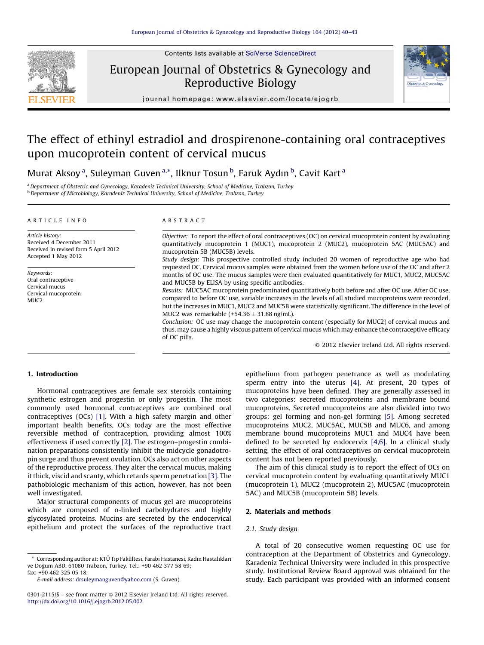

Contents lists available at SciVerse [ScienceDirect](http://www.sciencedirect.com/science/journal/03012115)

# European Journal of Obstetrics & Gynecology and Reproductive Biology



journal homepa ge: www.elsevier.com/locate/ejogrb

# The effect of ethinyl estradiol and drospirenone-containing oral contraceptives upon mucoprotein content of cervical mucus

Murat Aksoy <sup>a</sup>, Suleyman Guven <sup>a,</sup>\*, Ilknur Tosun <sup>b</sup>, Faruk Aydın <sup>b</sup>, Cavit Kart <sup>a</sup>

a Department of Obstetric and Gynecology, Karadeniz Technical University, School of Medicine, Trabzon, Turkey <sup>b</sup> Department of Microbiology, Karadeniz Technical University, School of Medicine, Trabzon, Turkey

#### A R T I C L E I N F O

Article history: Received 4 December 2011 Received in revised form 5 April 2012 Accepted 1 May 2012

Keywords: Oral contraceptive Cervical mucus Cervical mucoprotein MUC2

## A B S T R A C T

Objective: To report the effect of oral contraceptives (OC) on cervical mucoprotein content by evaluating quantitatively mucoprotein 1 (MUC1), mucoprotein 2 (MUC2), mucoprotein 5AC (MUC5AC) and mucoprotein 5B (MUC5B) levels.

Study design: This prospective controlled study included 20 women of reproductive age who had requested OC. Cervical mucus samples were obtained from the women before use of the OC and after 2 months of OC use. The mucus samples were then evaluated quantitatively for MUC1, MUC2, MUC5AC and MUC5B by ELISA by using specific antibodies.

Results: MUC5AC mucoprotein predominated quantitatively both before and after OC use. After OC use, compared to before OC use, variable increases in the levels of all studied mucoproteins were recorded, but the increases in MUC1, MUC2 and MUC5B were statistically significant. The difference in the level of MUC2 was remarkable (+54.36  $\pm$  31.88 ng/mL).

Conclusion: OC use may change the mucoprotein content (especially for MUC2) of cervical mucus and thus, may cause a highly viscous pattern of cervical mucus which may enhance the contraceptive efficacy of OC pills.

- 2012 Elsevier Ireland Ltd. All rights reserved.

## 1. Introduction

Hormonal contraceptives are female sex steroids containing synthetic estrogen and progestin or only progestin. The most commonly used hormonal contraceptives are combined oral contraceptives (OCs) [\[1\]](#page-3-0). With a high safety margin and other important health benefits, OCs today are the most effective reversible method of contraception, providing almost 100% effectiveness if used correctly [\[2\].](#page-3-0) The estrogen–progestin combination preparations consistently inhibit the midcycle gonadotropin surge and thus prevent ovulation. OCs also act on other aspects of the reproductive process. They alter the cervical mucus, making it thick, viscid and scanty, which retards sperm penetration [\[3\]](#page-3-0). The pathobiologic mechanism of this action, however, has not been well investigated.

Major structural components of mucus gel are mucoproteins which are composed of o-linked carbohydrates and highly glycosylated proteins. Mucins are secreted by the endocervical epithelium and protect the surfaces of the reproductive tract

\* Corresponding author at: KTU¨ Tıp Faku¨ltesi, Farabi Hastanesi, Kadın Hastalıkları ve Doğum ABD, 61080 Trabzon, Turkey. Tel.: +90 462 377 58 69; fax: +90 462 325 05 18.

E-mail address: [drsuleymanguven@yahoo.com](mailto:drsuleymanguven@yahoo.com) (S. Guven).

epithelium from pathogen penetrance as well as modulating sperm entry into the uterus [\[4\].](#page-3-0) At present, 20 types of mucoproteins have been defined. They are generally assessed in two categories: secreted mucoproteins and membrane bound mucoproteins. Secreted mucoproteins are also divided into two groups: gel forming and non-gel forming [\[5\].](#page-3-0) Among secreted mucoproteins MUC2, MUC5AC, MUC5B and MUC6, and among membrane bound mucoproteins MUC1 and MUC4 have been defined to be secreted by endocervix [\[4,6\].](#page-3-0) In a clinical study setting, the effect of oral contraceptives on cervical mucoprotein content has not been reported previously.

The aim of this clinical study is to report the effect of OCs on cervical mucoprotein content by evaluating quantitatively MUC1 (mucoprotein 1), MUC2 (mucoprotein 2), MUC5AC (mucoprotein 5AC) and MUC5B (mucoprotein 5B) levels.

### 2. Materials and methods

#### 2.1. Study design

A total of 20 consecutive women requesting OC use for contraception at the Department of Obstetrics and Gynecology, Karadeniz Technical University were included in this prospective study. Institutional Review Board approval was obtained for the study. Each participant was provided with an informed consent

 $0301-2115/\$  – see front matter  $\odot$  2012 Elsevier Ireland Ltd. All rights reserved. <http://dx.doi.org/10.1016/j.ejogrb.2012.05.002>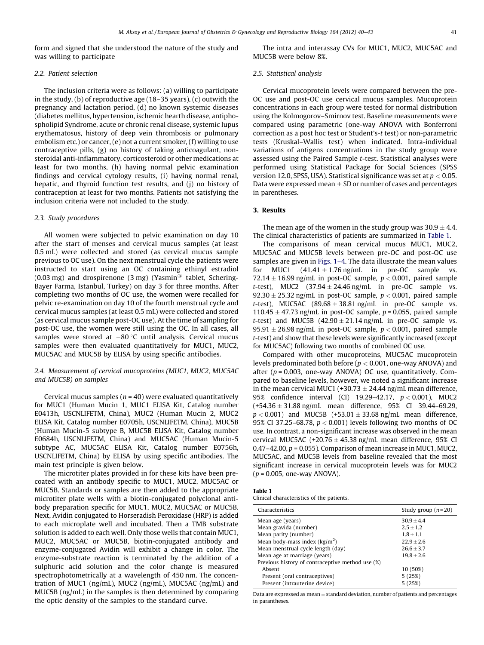form and signed that she understood the nature of the study and was willing to participate

#### 2.2. Patient selection

The inclusion criteria were as follows: (a) willing to participate in the study, (b) of reproductive age (18–35 years), (c) outwith the pregnancy and lactation period, (d) no known systemic diseases (diabetes mellitus, hypertension, ischemic hearth disease, antiphospholipid Syndrome, acute or chronic renal disease, systemic lupus erythematosus, history of deep vein thrombosis or pulmonary embolism etc.) or cancer, (e) not a current smoker, (f) willing to use contraceptive pills, (g) no history of taking anticoagulant, nonsteroidal anti-inflammatory, corticosteroid or other medications at least for two months, (h) having normal pelvic examination findings and cervical cytology results, (i) having normal renal, hepatic, and thyroid function test results, and (j) no history of contraception at least for two months. Patients not satisfying the inclusion criteria were not included to the study.

#### 2.3. Study procedures

All women were subjected to pelvic examination on day 10 after the start of menses and cervical mucus samples (at least 0.5 mL) were collected and stored (as cervical mucus sample previous to OC use). On the next menstrual cycle the patients were instructed to start using an OC containing ethinyl estradiol (0.03 mg) and drospirenone (3 mg) (Yasmin<sup>®</sup> tablet, Schering-Bayer Farma, Istanbul, Turkey) on day 3 for three months. After completing two months of OC use, the women were recalled for pelvic re-examination on day 10 of the fourth menstrual cycle and cervical mucus samples (at least 0.5 mL) were collected and stored (as cervical mucus sample post-OC use). At the time of sampling for post-OC use, the women were still using the OC. In all cases, all samples were stored at  $-80$  °C until analysis. Cervical mucus samples were then evaluated quantitatively for MUC1, MUC2, MUC5AC and MUC5B by ELISA by using specific antibodies.

### 2.4. Measurement of cervical mucoproteins (MUC1, MUC2, MUC5AC and MUC5B) on samples

Cervical mucus samples ( $n = 40$ ) were evaluated quantitatively for MUC1 (Human Mucin 1, MUC1 ELISA Kit, Catalog number E0413h, USCNLIFETM, China), MUC2 (Human Mucin 2, MUC2 ELISA Kit, Catalog number E0705h, USCNLIFETM, China), MUC5B (Human Mucin-5 subtype B, MUC5B ELISA Kit, Catalog number E0684h, USCNLIFETM, China) and MUC5AC (Human Mucin-5 subtype AC, MUC5AC ELISA Kit, Catalog number E0756h, USCNLIFETM, China) by ELISA by using specific antibodies. The main test principle is given below.

The microtiter plates provided in for these kits have been precoated with an antibody specific to MUC1, MUC2, MUC5AC or MUC5B. Standards or samples are then added to the appropriate microtiter plate wells with a biotin-conjugated polyclonal antibody preparation specific for MUC1, MUC2, MUC5AC or MUC5B. Next, Avidin conjugated to Horseradish Peroxidase (HRP) is added to each microplate well and incubated. Then a TMB substrate solution is added to each well. Only those wells that contain MUC1, MUC2, MUC5AC or MUC5B, biotin-conjugated antibody and enzyme-conjugated Avidin will exhibit a change in color. The enzyme-substrate reaction is terminated by the addition of a sulphuric acid solution and the color change is measured spectrophotometrically at a wavelength of 450 nm. The concentration of MUC1 (ng/mL), MUC2 (ng/mL), MUC5AC (ng/mL) and MUC5B (ng/mL) in the samples is then determined by comparing the optic density of the samples to the standard curve.

The intra and interassay CVs for MUC1, MUC2, MUC5AC and MUC5B were below 8%.

#### 2.5. Statistical analysis

Cervical mucoprotein levels were compared between the pre-OC use and post-OC use cervical mucus samples. Mucoprotein concentrations in each group were tested for normal distribution using the Kolmogorov–Smirnov test. Baseline measurements were compared using parametric (one-way ANOVA with Bonferroni correction as a post hoc test or Student's-t test) or non-parametric tests (Kruskal–Wallis test) when indicated. Intra-individual variations of antigens concentrations in the study group were assessed using the Paired Sample t-test. Statistical analyses were performed using Statistical Package for Social Sciences (SPSS version 12.0, SPSS, USA). Statistical significance was set at  $p < 0.05$ . Data were expressed mean  $\pm$  SD or number of cases and percentages in parentheses.

#### 3. Results

The mean age of the women in the study group was 30.9  $\pm$  4.4. The clinical characteristics of patients are summarized in Table 1.

The comparisons of mean cervical mucus MUC1, MUC2, MUC5AC and MUC5B levels between pre-OC and post-OC use samples are given in [Figs.](#page-2-0) 1–4. The data illustrate the mean values for MUC1  $(41.41 \pm 1.76 \text{ ng/mL}$  in pre-OC sample vs. 72.14  $\pm$  16.99 ng/mL in post-OC sample,  $p < 0.001$ , paired sample t-test), MUC2  $(37.94 \pm 24.46 \text{ ng/mL}$  in pre-OC sample vs.  $92.30 \pm 25.32$  ng/mL in post-OC sample,  $p < 0.001$ , paired sample t-test), MUC5AC  $(89.68 \pm 38.81 \text{ ng/mL}$  in pre-OC sample vs. 110.45  $\pm$  47.73 ng/mL in post-OC sample, p = 0.055, paired sample t-test) and MUC5B  $(42.90 \pm 21.14 \text{ ng/mL}$  in pre-OC sample vs.  $95.91 \pm 26.98$  ng/mL in post-OC sample,  $p < 0.001$ , paired sample t-test) and show that these levels were significantly increased (except for MUC5AC) following two months of combined OC use.

Compared with other mucoproteins, MUC5AC mucoprotein levels predominated both before ( $p < 0.001$ , one-way ANOVA) and after ( $p = 0.003$ , one-way ANOVA) OC use, quantitatively. Compared to baseline levels, however, we noted a significant increase in the mean cervical MUC1 (+30.73  $\pm$  24.44 ng/mL mean difference, 95% confidence interval (CI) 19.29–42.17, p < 0.001), MUC2  $(+54.36 \pm 31.88 \text{ ng/mL}$  mean difference,  $95\%$  CI 39.44–69.29,  $p < 0.001$ ) and MUC5B (+53.01  $\pm$  33.68 ng/mL mean difference, 95% CI 37.25–68.78,  $p < 0.001$ ) levels following two months of OC use. In contrast, a non-significant increase was observed in the mean cervical MUC5AC (+20.76  $\pm$  45.38 ng/mL mean difference, 95% CI  $0.47-42.00$ ,  $p = 0.055$ ). Comparison of mean increase in MUC1, MUC2, MUC5AC, and MUC5B levels from baseline revealed that the most significant increase in cervical mucoprotein levels was for MUC2  $(p = 0.005,$  one-way ANOVA).

| Table 1 |  |  |  |
|---------|--|--|--|
|         |  |  |  |

Clinical characteristics of the patients.

| Characteristics                                  | Study group $(n=20)$ |  |  |
|--------------------------------------------------|----------------------|--|--|
| Mean age (years)                                 | $30.9 + 4.4$         |  |  |
| Mean gravida (number)                            | $2.5 + 1.2$          |  |  |
| Mean parity (number)                             | $1.8 + 1.1$          |  |  |
| Mean body-mass index $\frac{kg}{m^2}$            | $22.9 + 2.6$         |  |  |
| Mean menstrual cycle length (day)                | $26.6 + 3.7$         |  |  |
| Mean age at marriage (years)                     | $19.8 + 2.6$         |  |  |
| Previous history of contraceptive method use (%) |                      |  |  |
| Absent                                           | 10 (50%)             |  |  |
| Present (oral contraceptives)                    | 5(25%)               |  |  |
| Present (intrauterine device)                    | 5(25%)               |  |  |

Data are expressed as mean  $\pm$  standard deviation, number of patients and percentages in parantheses.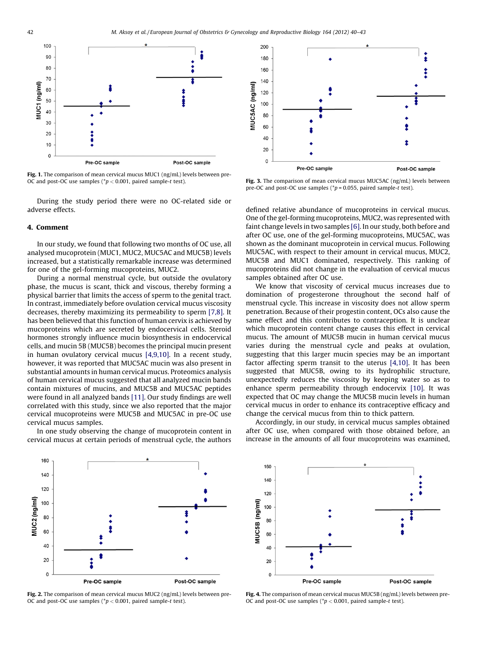<span id="page-2-0"></span>

Fig. 1. The comparison of mean cervical mucus MUC1 (ng/mL) levels between pre-OC and post-OC use samples ( $p < 0.001$ , paired sample-t test).

During the study period there were no OC-related side or adverse effects.

#### 4. Comment

In our study, we found that following two months of OC use, all analysed mucoprotein (MUC1, MUC2, MUC5AC and MUC5B) levels increased, but a statistically remarkable increase was determined for one of the gel-forming mucoproteins, MUC2.

During a normal menstrual cycle, but outside the ovulatory phase, the mucus is scant, thick and viscous, thereby forming a physical barrier that limits the access of sperm to the genital tract. In contrast, immediately before ovulation cervical mucus viscosity decreases, thereby maximizing its permeability to sperm [\[7,8\]](#page-3-0). It has been believed that this function of human cervix is achieved by mucoproteins which are secreted by endocervical cells. Steroid hormones strongly influence mucin biosynthesis in endocervical cells, and mucin 5B (MUC5B) becomes the principal mucin present in human ovulatory cervical mucus [\[4,9,10\]](#page-3-0). In a recent study, however, it was reported that MUC5AC mucin was also present in substantial amounts in human cervical mucus. Proteomics analysis of human cervical mucus suggested that all analyzed mucin bands contain mixtures of mucins, and MUC5B and MUC5AC peptides were found in all analyzed bands [\[11\]](#page-3-0). Our study findings are well correlated with this study, since we also reported that the major cervical mucoproteins were MUC5B and MUC5AC in pre-OC use cervical mucus samples.

In one study observing the change of mucoprotein content in cervical mucus at certain periods of menstrual cycle, the authors



Fig. 3. The comparison of mean cervical mucus MUC5AC (ng/mL) levels between pre-OC and post-OC use samples ( ${}^*p$  = 0.055, paired sample-t test).

defined relative abundance of mucoproteins in cervical mucus. One of the gel-forming mucoproteins, MUC2, was represented with faint change levels in two samples [\[6\].](#page-3-0) In our study, both before and after OC use, one of the gel-forming mucoproteins, MUC5AC, was shown as the dominant mucoprotein in cervical mucus. Following MUC5AC, with respect to their amount in cervical mucus, MUC2, MUC5B and MUC1 dominated, respectively. This ranking of mucoproteins did not change in the evaluation of cervical mucus samples obtained after OC use.

We know that viscosity of cervical mucus increases due to domination of progesterone throughout the second half of menstrual cycle. This increase in viscosity does not allow sperm penetration. Because of their progestin content, OCs also cause the same effect and this contributes to contraception. It is unclear which mucoprotein content change causes this effect in cervical mucus. The amount of MUC5B mucin in human cervical mucus varies during the menstrual cycle and peaks at ovulation, suggesting that this larger mucin species may be an important factor affecting sperm transit to the uterus [\[4,10\]](#page-3-0). It has been suggested that MUC5B, owing to its hydrophilic structure, unexpectedly reduces the viscosity by keeping water so as to enhance sperm permeability through endocervix [\[10\].](#page-3-0) It was expected that OC may change the MUC5B mucin levels in human cervical mucus in order to enhance its contraceptive efficacy and change the cervical mucus from thin to thick pattern.

Accordingly, in our study, in cervical mucus samples obtained after OC use, when compared with those obtained before, an increase in the amounts of all four mucoproteins was examined,



Fig. 2. The comparison of mean cervical mucus MUC2 (ng/mL) levels between pre-OC and post-OC use samples ( $p < 0.001$ , paired sample-t test).



Fig. 4. The comparison of mean cervical mucus MUC5B (ng/mL) levels between pre-OC and post-OC use samples ( $p < 0.001$ , paired sample-t test).